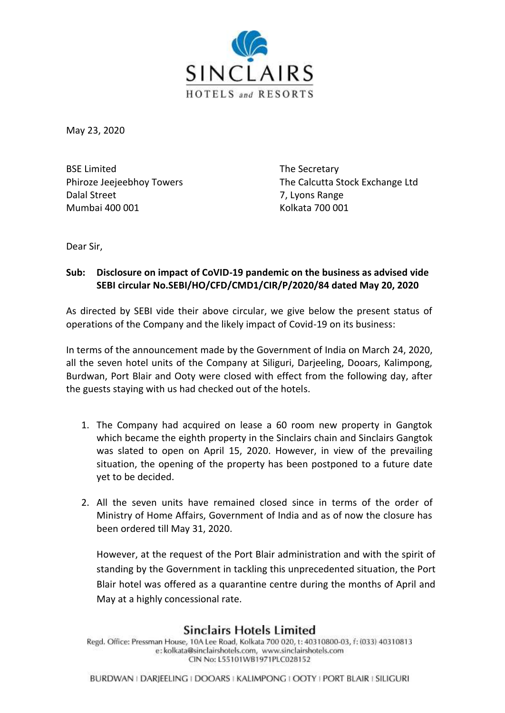

May 23, 2020

BSE Limited The Secretary Dalal Street 7, Lyons Range Mumbai 400 001 Kolkata 700 001

Phiroze Jeejeebhoy Towers The Calcutta Stock Exchange Ltd

Dear Sir,

## **Sub: Disclosure on impact of CoVID-19 pandemic on the business as advised vide SEBI circular No.SEBI/HO/CFD/CMD1/CIR/P/2020/84 dated May 20, 2020**

As directed by SEBI vide their above circular, we give below the present status of operations of the Company and the likely impact of Covid-19 on its business:

In terms of the announcement made by the Government of India on March 24, 2020, all the seven hotel units of the Company at Siliguri, Darjeeling, Dooars, Kalimpong, Burdwan, Port Blair and Ooty were closed with effect from the following day, after the guests staying with us had checked out of the hotels.

- 1. The Company had acquired on lease a 60 room new property in Gangtok which became the eighth property in the Sinclairs chain and Sinclairs Gangtok was slated to open on April 15, 2020. However, in view of the prevailing situation, the opening of the property has been postponed to a future date yet to be decided.
- 2. All the seven units have remained closed since in terms of the order of Ministry of Home Affairs, Government of India and as of now the closure has been ordered till May 31, 2020.

However, at the request of the Port Blair administration and with the spirit of standing by the Government in tackling this unprecedented situation, the Port Blair hotel was offered as a quarantine centre during the months of April and May at a highly concessional rate.

## **Sinclairs Hotels Limited**

Regd. Office: Pressman House, 10A Lee Road, Kolkata 700 020, t: 40310800-03, f: (033) 40310813 e: kolkata@sinclairshotels.com, www.sinclairshotels.com CIN No: L55101WB1971PLC028152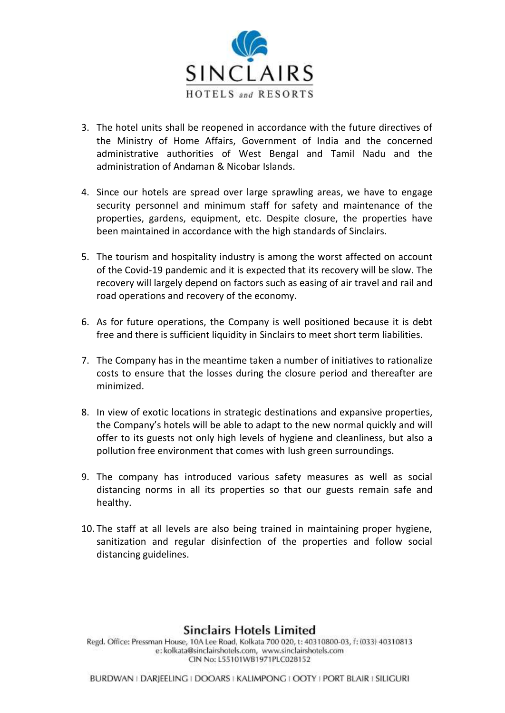

- 3. The hotel units shall be reopened in accordance with the future directives of the Ministry of Home Affairs, Government of India and the concerned administrative authorities of West Bengal and Tamil Nadu and the administration of Andaman & Nicobar Islands.
- 4. Since our hotels are spread over large sprawling areas, we have to engage security personnel and minimum staff for safety and maintenance of the properties, gardens, equipment, etc. Despite closure, the properties have been maintained in accordance with the high standards of Sinclairs.
- 5. The tourism and hospitality industry is among the worst affected on account of the Covid-19 pandemic and it is expected that its recovery will be slow. The recovery will largely depend on factors such as easing of air travel and rail and road operations and recovery of the economy.
- 6. As for future operations, the Company is well positioned because it is debt free and there is sufficient liquidity in Sinclairs to meet short term liabilities.
- 7. The Company has in the meantime taken a number of initiatives to rationalize costs to ensure that the losses during the closure period and thereafter are minimized.
- 8. In view of exotic locations in strategic destinations and expansive properties, the Company's hotels will be able to adapt to the new normal quickly and will offer to its guests not only high levels of hygiene and cleanliness, but also a pollution free environment that comes with lush green surroundings.
- 9. The company has introduced various safety measures as well as social distancing norms in all its properties so that our guests remain safe and healthy.
- 10. The staff at all levels are also being trained in maintaining proper hygiene, sanitization and regular disinfection of the properties and follow social distancing guidelines.

## **Sinclairs Hotels Limited**

Regd. Office: Pressman House, 10A Lee Road, Kolkata 700 020, t: 40310800-03, f: (033) 40310813 e: kolkata@sinclairshotels.com, www.sinclairshotels.com CIN No: L55101WB1971PLC028152